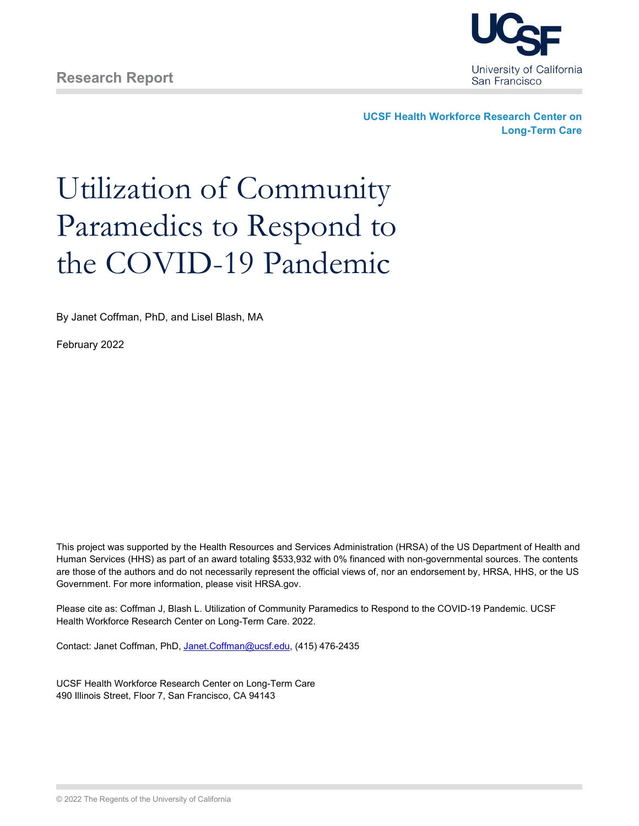

**UCSF Health Workforce Research Center on Long-Term Care**

# Utilization of Community Paramedics to Respond to the COVID-19 Pandemic

By Janet Coffman, PhD, and Lisel Blash, MA

February 2022

This project was supported by the Health Resources and Services Administration (HRSA) of the US Department of Health and Human Services (HHS) as part of an award totaling \$533,932 with 0% financed with non-governmental sources. The contents are those of the authors and do not necessarily represent the official views of, nor an endorsement by, HRSA, HHS, or the US Government. For more information, please visit HRSA.gov.

Please cite as: Coffman J, Blash L. Utilization of Community Paramedics to Respond to the COVID-19 Pandemic. UCSF Health Workforce Research Center on Long-Term Care. 2022.

Contact: Janet Coffman, PhD, [Janet.Coffman@ucsf.edu,](mailto:Janet.Coffman@ucsf.edu) (415) 476-2435

UCSF Health Workforce Research Center on Long-Term Care 490 Illinois Street, Floor 7, San Francisco, CA 94143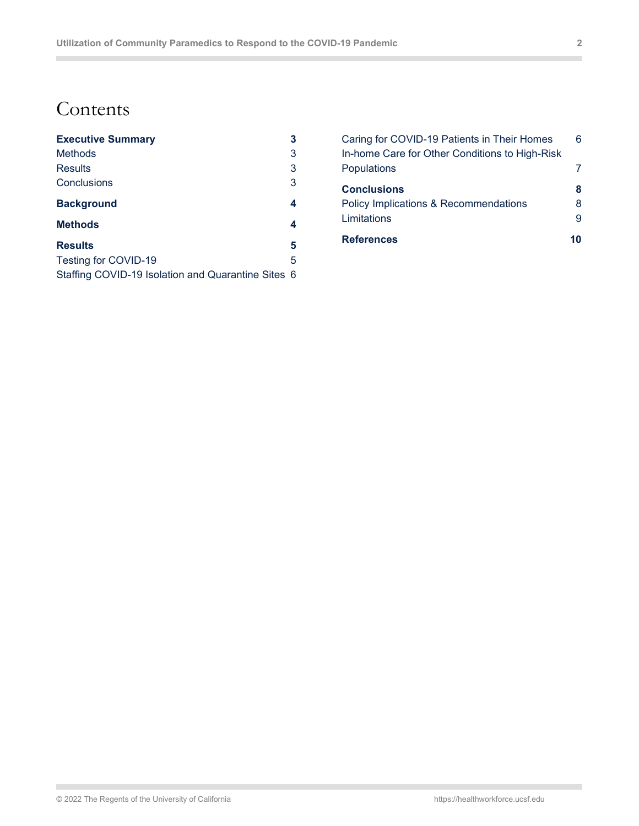# Contents

 $\overline{\phantom{a}}$ 

| <b>Executive Summary</b>                           | 3 |
|----------------------------------------------------|---|
| <b>Methods</b>                                     | 3 |
| Results                                            | 3 |
| Conclusions                                        | 3 |
| <b>Background</b>                                  | 4 |
| <b>Methods</b>                                     | 4 |
| <b>Results</b>                                     | 5 |
| Testing for COVID-19                               | 5 |
| Staffing COVID-19 Isolation and Quarantine Sites 6 |   |

| Caring for COVID-19 Patients in Their Homes                   | 6 |
|---------------------------------------------------------------|---|
| In-home Care for Other Conditions to High-Risk<br>Populations |   |
| <b>Conclusions</b>                                            | 8 |
| <b>Policy Implications &amp; Recommendations</b>              | 8 |
| Limitations                                                   | 9 |
|                                                               |   |
| <b>References</b>                                             |   |

**COL**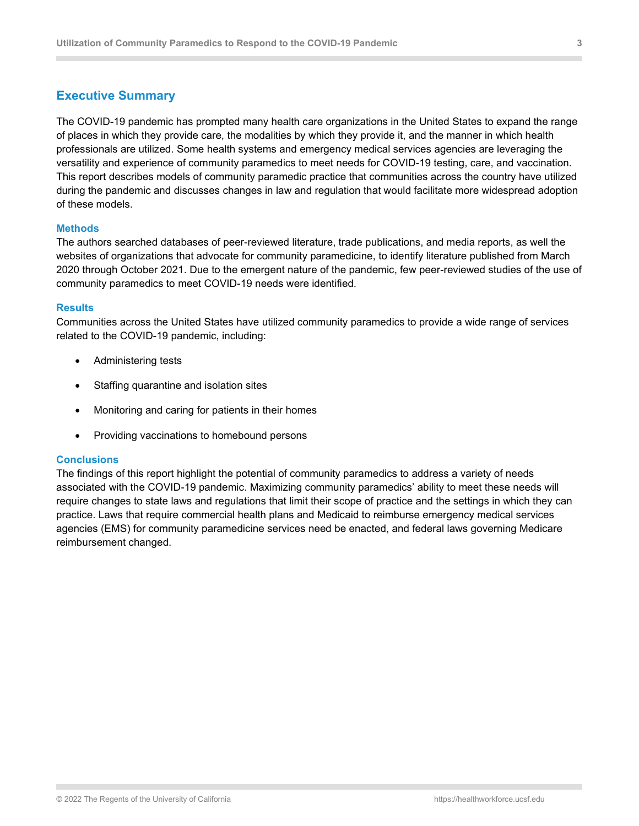# <span id="page-2-0"></span>**Executive Summary**

The COVID-19 pandemic has prompted many health care organizations in the United States to expand the range of places in which they provide care, the modalities by which they provide it, and the manner in which health professionals are utilized. Some health systems and emergency medical services agencies are leveraging the versatility and experience of community paramedics to meet needs for COVID-19 testing, care, and vaccination. This report describes models of community paramedic practice that communities across the country have utilized during the pandemic and discusses changes in law and regulation that would facilitate more widespread adoption of these models.

#### <span id="page-2-1"></span>**Methods**

The authors searched databases of peer-reviewed literature, trade publications, and media reports, as well the websites of organizations that advocate for community paramedicine, to identify literature published from March 2020 through October 2021. Due to the emergent nature of the pandemic, few peer-reviewed studies of the use of community paramedics to meet COVID-19 needs were identified.

#### <span id="page-2-2"></span>**Results**

Communities across the United States have utilized community paramedics to provide a wide range of services related to the COVID-19 pandemic, including:

- Administering tests
- Staffing quarantine and isolation sites
- Monitoring and caring for patients in their homes
- Providing vaccinations to homebound persons

#### <span id="page-2-3"></span>**Conclusions**

The findings of this report highlight the potential of community paramedics to address a variety of needs associated with the COVID-19 pandemic. Maximizing community paramedics' ability to meet these needs will require changes to state laws and regulations that limit their scope of practice and the settings in which they can practice. Laws that require commercial health plans and Medicaid to reimburse emergency medical services agencies (EMS) for community paramedicine services need be enacted, and federal laws governing Medicare reimbursement changed.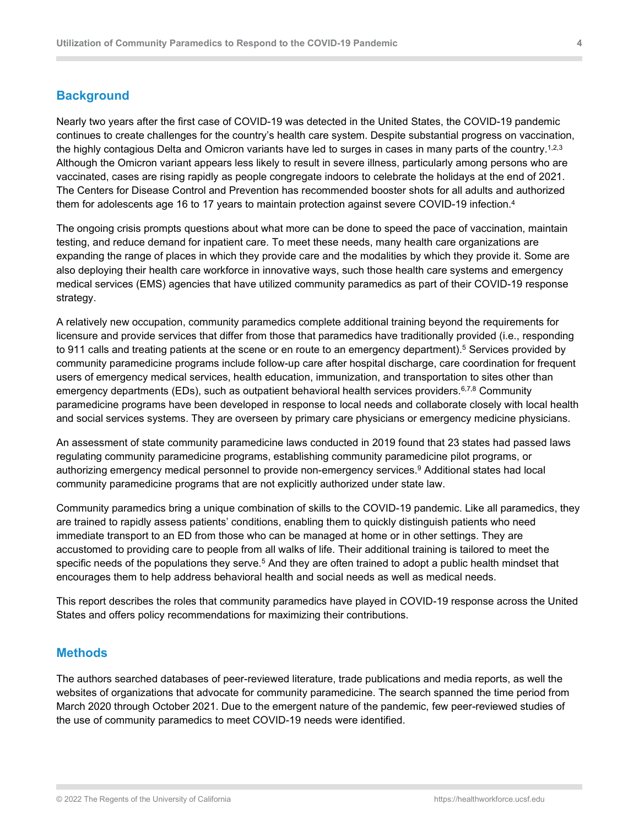# <span id="page-3-0"></span>**Background**

Nearly two years after the first case of COVID-19 was detected in the United States, the COVID-19 pandemic continues to create challenges for the country's health care system. Despite substantial progress on vaccination, the highly contagious Delta and Omicron variants have led to surges in cases in many parts of the country. $^{1,2,3}$ Although the Omicron variant appears less likely to result in severe illness, particularly among persons who are vaccinated, cases are rising rapidly as people congregate indoors to celebrate the holidays at the end of 2021. The Centers for Disease Control and Prevention has recommended booster shots for all adults and authorized them for adolescents age 16 to 17 years to maintain protection against severe COVID-19 infection. 4

The ongoing crisis prompts questions about what more can be done to speed the pace of vaccination, maintain testing, and reduce demand for inpatient care. To meet these needs, many health care organizations are expanding the range of places in which they provide care and the modalities by which they provide it. Some are also deploying their health care workforce in innovative ways, such those health care systems and emergency medical services (EMS) agencies that have utilized community paramedics as part of their COVID-19 response strategy.

A relatively new occupation, community paramedics complete additional training beyond the requirements for licensure and provide services that differ from those that paramedics have traditionally provided (i.e., responding to 911 calls and treating patients at the scene or en route to an emergency department). <sup>5</sup> Services provided by community paramedicine programs include follow-up care after hospital discharge, care coordination for frequent users of emergency medical services, health education, immunization, and transportation to sites other than emergency departments (EDs), such as outpatient behavioral health services providers.<sup>6,7,8</sup> Community paramedicine programs have been developed in response to local needs and collaborate closely with local health and social services systems. They are overseen by primary care physicians or emergency medicine physicians.

An assessment of state community paramedicine laws conducted in 2019 found that 23 states had passed laws regulating community paramedicine programs, establishing community paramedicine pilot programs, or authorizing emergency medical personnel to provide non-emergency services.9 Additional states had local community paramedicine programs that are not explicitly authorized under state law.

Community paramedics bring a unique combination of skills to the COVID-19 pandemic. Like all paramedics, they are trained to rapidly assess patients' conditions, enabling them to quickly distinguish patients who need immediate transport to an ED from those who can be managed at home or in other settings. They are accustomed to providing care to people from all walks of life. Their additional training is tailored to meet the specific needs of the populations they serve.<sup>5</sup> And they are often trained to adopt a public health mindset that encourages them to help address behavioral health and social needs as well as medical needs.

This report describes the roles that community paramedics have played in COVID-19 response across the United States and offers policy recommendations for maximizing their contributions.

## <span id="page-3-1"></span>**Methods**

The authors searched databases of peer-reviewed literature, trade publications and media reports, as well the websites of organizations that advocate for community paramedicine. The search spanned the time period from March 2020 through October 2021. Due to the emergent nature of the pandemic, few peer-reviewed studies of the use of community paramedics to meet COVID-19 needs were identified.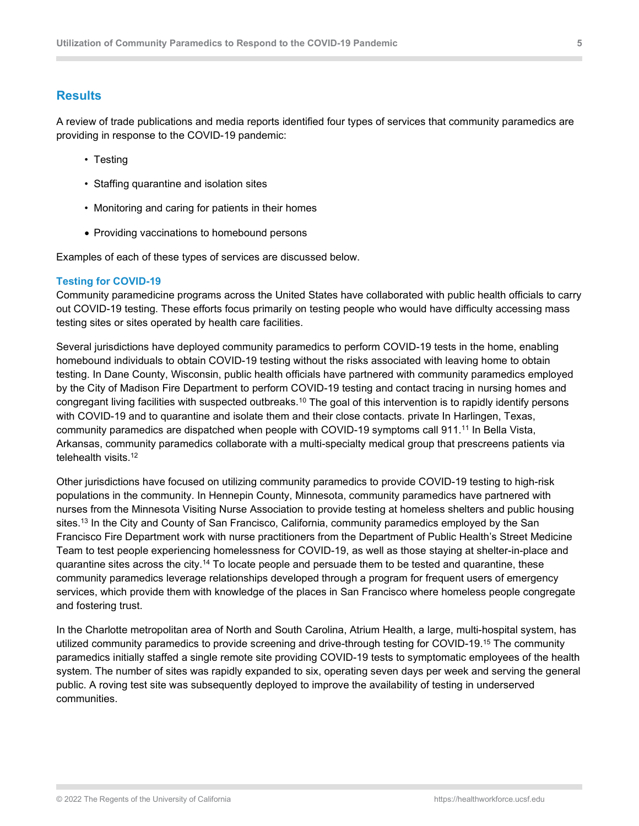# <span id="page-4-0"></span>**Results**

A review of trade publications and media reports identified four types of services that community paramedics are providing in response to the COVID-19 pandemic:

- Testing
- Staffing quarantine and isolation sites
- Monitoring and caring for patients in their homes
- Providing vaccinations to homebound persons

Examples of each of these types of services are discussed below.

#### <span id="page-4-1"></span>**Testing for COVID-19**

Community paramedicine programs across the United States have collaborated with public health officials to carry out COVID-19 testing. These efforts focus primarily on testing people who would have difficulty accessing mass testing sites or sites operated by health care facilities.

Several jurisdictions have deployed community paramedics to perform COVID-19 tests in the home, enabling homebound individuals to obtain COVID-19 testing without the risks associated with leaving home to obtain testing. In Dane County, Wisconsin, public health officials have partnered with community paramedics employed by the City of Madison Fire Department to perform COVID-19 testing and contact tracing in nursing homes and congregant living facilities with suspected outbreaks.10 The goal of this intervention is to rapidly identify persons with COVID-19 and to quarantine and isolate them and their close contacts. private In Harlingen, Texas, community paramedics are dispatched when people with COVID-19 symptoms call 911.11 In Bella Vista, Arkansas, community paramedics collaborate with a multi-specialty medical group that prescreens patients via telehealth visits.12

Other jurisdictions have focused on utilizing community paramedics to provide COVID-19 testing to high-risk populations in the community. In Hennepin County, Minnesota, community paramedics have partnered with nurses from the Minnesota Visiting Nurse Association to provide testing at homeless shelters and public housing sites.<sup>13</sup> In the City and County of San Francisco, California, community paramedics employed by the San Francisco Fire Department work with nurse practitioners from the Department of Public Health's Street Medicine Team to test people experiencing homelessness for COVID-19, as well as those staying at shelter-in-place and quarantine sites across the city.14 To locate people and persuade them to be tested and quarantine, these community paramedics leverage relationships developed through a program for frequent users of emergency services, which provide them with knowledge of the places in San Francisco where homeless people congregate and fostering trust.

<span id="page-4-2"></span>In the Charlotte metropolitan area of North and South Carolina, Atrium Health, a large, multi-hospital system, has utilized community paramedics to provide screening and drive-through testing for COVID-19.15 The community paramedics initially staffed a single remote site providing COVID-19 tests to symptomatic employees of the health system. The number of sites was rapidly expanded to six, operating seven days per week and serving the general public. A roving test site was subsequently deployed to improve the availability of testing in underserved communities.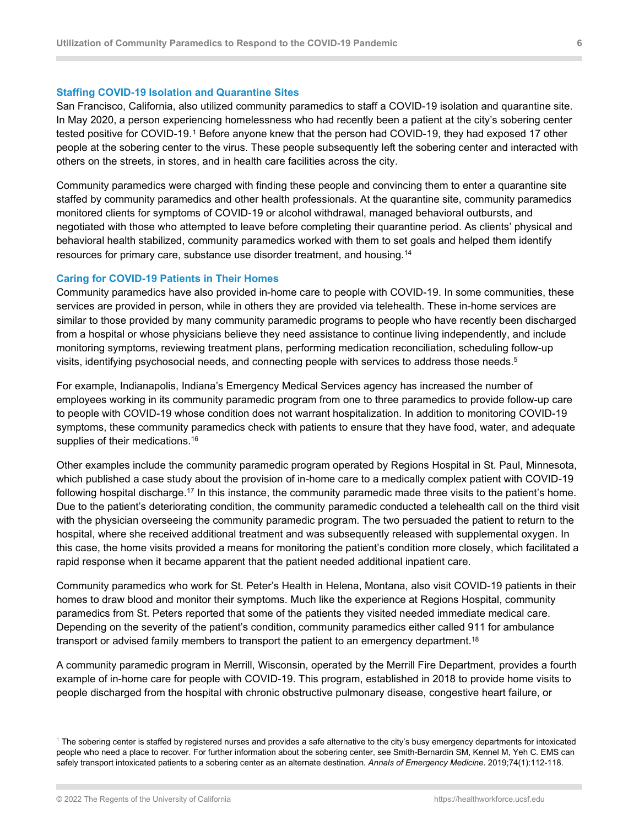#### **Staffing COVID-19 Isolation and Quarantine Sites**

San Francisco, California, also utilized community paramedics to staff a COVID-19 isolation and quarantine site. In May 2020, a person experiencing homelessness who had recently been a patient at the city's sobering center tested positive for COVID-19.[1](#page-5-1) Before anyone knew that the person had COVID-19, they had exposed 17 other people at the sobering center to the virus. These people subsequently left the sobering center and interacted with others on the streets, in stores, and in health care facilities across the city.

Community paramedics were charged with finding these people and convincing them to enter a quarantine site staffed by community paramedics and other health professionals. At the quarantine site, community paramedics monitored clients for symptoms of COVID-19 or alcohol withdrawal, managed behavioral outbursts, and negotiated with those who attempted to leave before completing their quarantine period. As clients' physical and behavioral health stabilized, community paramedics worked with them to set goals and helped them identify resources for primary care, substance use disorder treatment, and housing.14

#### <span id="page-5-0"></span>**Caring for COVID-19 Patients in Their Homes**

Community paramedics have also provided in-home care to people with COVID-19. In some communities, these services are provided in person, while in others they are provided via telehealth. These in-home services are similar to those provided by many community paramedic programs to people who have recently been discharged from a hospital or whose physicians believe they need assistance to continue living independently, and include monitoring symptoms, reviewing treatment plans, performing medication reconciliation, scheduling follow-up visits, identifying psychosocial needs, and connecting people with services to address those needs. $^{\rm 5}$ 

For example, Indianapolis, Indiana's Emergency Medical Services agency has increased the number of employees working in its community paramedic program from one to three paramedics to provide follow-up care to people with COVID-19 whose condition does not warrant hospitalization. In addition to monitoring COVID-19 symptoms, these community paramedics check with patients to ensure that they have food, water, and adequate supplies of their medications.<sup>16</sup>

Other examples include the community paramedic program operated by Regions Hospital in St. Paul, Minnesota, which published a case study about the provision of in-home care to a medically complex patient with COVID-19 following hospital discharge.17 In this instance, the community paramedic made three visits to the patient's home. Due to the patient's deteriorating condition, the community paramedic conducted a telehealth call on the third visit with the physician overseeing the community paramedic program. The two persuaded the patient to return to the hospital, where she received additional treatment and was subsequently released with supplemental oxygen. In this case, the home visits provided a means for monitoring the patient's condition more closely, which facilitated a rapid response when it became apparent that the patient needed additional inpatient care.

Community paramedics who work for St. Peter's Health in Helena, Montana, also visit COVID-19 patients in their homes to draw blood and monitor their symptoms. Much like the experience at Regions Hospital, community paramedics from St. Peters reported that some of the patients they visited needed immediate medical care. Depending on the severity of the patient's condition, community paramedics either called 911 for ambulance transport or advised family members to transport the patient to an emergency department. $^{\rm 18}$ 

A community paramedic program in Merrill, Wisconsin, operated by the Merrill Fire Department, provides a fourth example of in-home care for people with COVID-19. This program, established in 2018 to provide home visits to people discharged from the hospital with chronic obstructive pulmonary disease, congestive heart failure, or

<span id="page-5-1"></span> $1$  The sobering center is staffed by registered nurses and provides a safe alternative to the city's busy emergency departments for intoxicated people who need a place to recover. For further information about the sobering center, see Smith-Bernardin SM, Kennel M, Yeh C. EMS can safely transport intoxicated patients to a sobering center as an alternate destination. *Annals of Emergency Medicine*. 2019;74(1):112-118.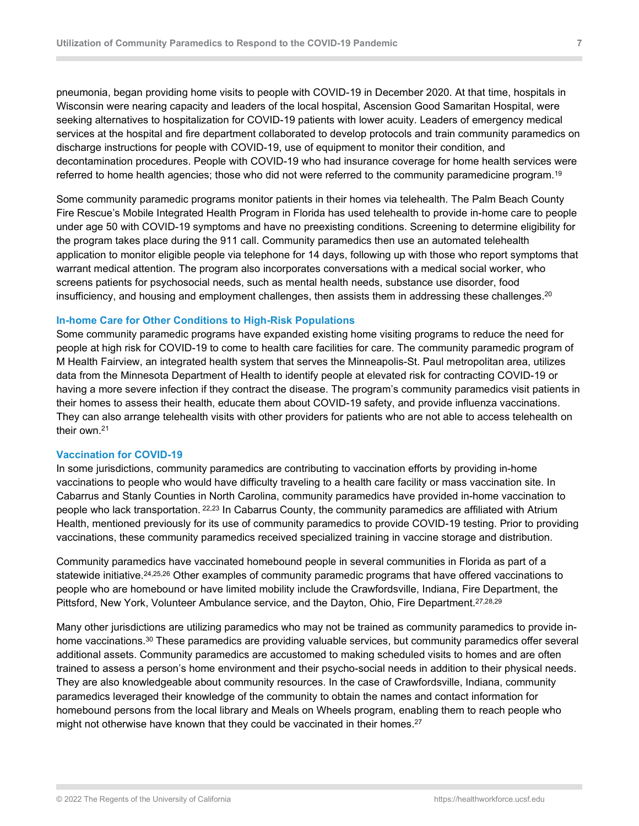pneumonia, began providing home visits to people with COVID-19 in December 2020. At that time, hospitals in Wisconsin were nearing capacity and leaders of the local hospital, Ascension Good Samaritan Hospital, were seeking alternatives to hospitalization for COVID-19 patients with lower acuity. Leaders of emergency medical services at the hospital and fire department collaborated to develop protocols and train community paramedics on discharge instructions for people with COVID-19, use of equipment to monitor their condition, and decontamination procedures. People with COVID-19 who had insurance coverage for home health services were referred to home health agencies; those who did not were referred to the community paramedicine program.<sup>19</sup>

Some community paramedic programs monitor patients in their homes via telehealth. The Palm Beach County Fire Rescue's Mobile Integrated Health Program in Florida has used telehealth to provide in-home care to people under age 50 with COVID-19 symptoms and have no preexisting conditions. Screening to determine eligibility for the program takes place during the 911 call. Community paramedics then use an automated telehealth application to monitor eligible people via telephone for 14 days, following up with those who report symptoms that warrant medical attention. The program also incorporates conversations with a medical social worker, who screens patients for psychosocial needs, such as mental health needs, substance use disorder, food insufficiency, and housing and employment challenges, then assists them in addressing these challenges.<sup>20</sup>

#### <span id="page-6-0"></span>**In-home Care for Other Conditions to High-Risk Populations**

Some community paramedic programs have expanded existing home visiting programs to reduce the need for people at high risk for COVID-19 to come to health care facilities for care. The community paramedic program of M Health Fairview, an integrated health system that serves the Minneapolis-St. Paul metropolitan area, utilizes data from the Minnesota Department of Health to identify people at elevated risk for contracting COVID-19 or having a more severe infection if they contract the disease. The program's community paramedics visit patients in their homes to assess their health, educate them about COVID-19 safety, and provide influenza vaccinations. They can also arrange telehealth visits with other providers for patients who are not able to access telehealth on their own.21

#### **Vaccination for COVID-19**

In some jurisdictions, community paramedics are contributing to vaccination efforts by providing in-home vaccinations to people who would have difficulty traveling to a health care facility or mass vaccination site. In Cabarrus and Stanly Counties in North Carolina, community paramedics have provided in-home vaccination to people who lack transportation. 22,23 In Cabarrus County, the community paramedics are affiliated with Atrium Health, mentioned previously for its use of community paramedics to provide COVID-19 testing. Prior to providing vaccinations, these community paramedics received specialized training in vaccine storage and distribution.

Community paramedics have vaccinated homebound people in several communities in Florida as part of a statewide initiative.<sup>24,25,26</sup> Other examples of community paramedic programs that have offered vaccinations to people who are homebound or have limited mobility include the Crawfordsville, Indiana, Fire Department, the Pittsford, New York, Volunteer Ambulance service, and the Dayton, Ohio, Fire Department.<sup>27,28,29</sup>

Many other jurisdictions are utilizing paramedics who may not be trained as community paramedics to provide inhome vaccinations.<sup>30</sup> These paramedics are providing valuable services, but community paramedics offer several additional assets. Community paramedics are accustomed to making scheduled visits to homes and are often trained to assess a person's home environment and their psycho-social needs in addition to their physical needs. They are also knowledgeable about community resources. In the case of Crawfordsville, Indiana, community paramedics leveraged their knowledge of the community to obtain the names and contact information for homebound persons from the local library and Meals on Wheels program, enabling them to reach people who might not otherwise have known that they could be vaccinated in their homes. 27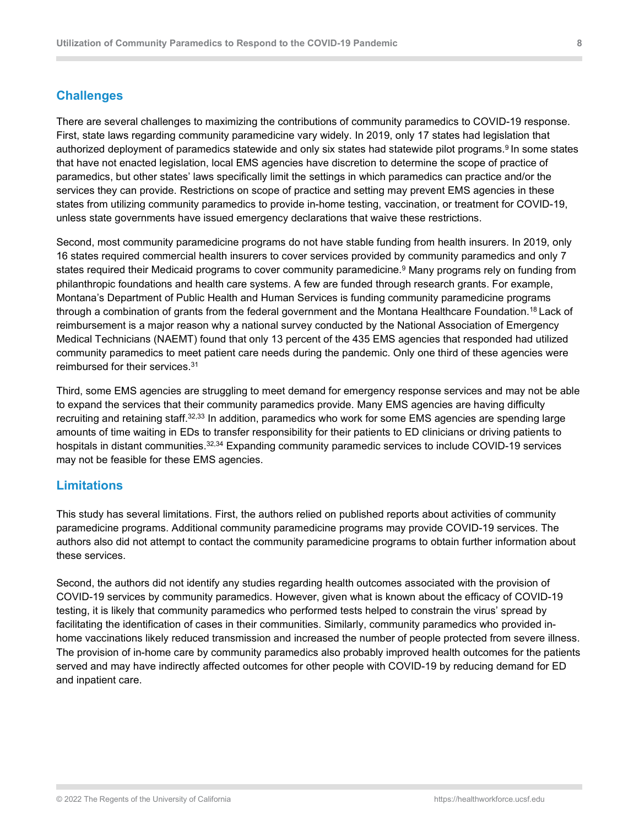# <span id="page-7-0"></span>**Challenges**

There are several challenges to maximizing the contributions of community paramedics to COVID-19 response. First, state laws regarding community paramedicine vary widely. In 2019, only 17 states had legislation that authorized deployment of paramedics statewide and only six states had statewide pilot programs.<sup>9</sup> In some states that have not enacted legislation, local EMS agencies have discretion to determine the scope of practice of paramedics, but other states' laws specifically limit the settings in which paramedics can practice and/or the services they can provide. Restrictions on scope of practice and setting may prevent EMS agencies in these states from utilizing community paramedics to provide in-home testing, vaccination, or treatment for COVID-19, unless state governments have issued emergency declarations that waive these restrictions.

Second, most community paramedicine programs do not have stable funding from health insurers. In 2019, only 16 states required commercial health insurers to cover services provided by community paramedics and only 7 states required their Medicaid programs to cover community paramedicine.<sup>9</sup> Many programs rely on funding from philanthropic foundations and health care systems. A few are funded through research grants. For example, Montana's Department of Public Health and Human Services is funding community paramedicine programs through a combination of grants from the federal government and the Montana Healthcare Foundation.18 Lack of reimbursement is a major reason why a national survey conducted by the National Association of Emergency Medical Technicians (NAEMT) found that only 13 percent of the 435 EMS agencies that responded had utilized community paramedics to meet patient care needs during the pandemic. Only one third of these agencies were reimbursed for their services.<sup>31</sup>

Third, some EMS agencies are struggling to meet demand for emergency response services and may not be able to expand the services that their community paramedics provide. Many EMS agencies are having difficulty recruiting and retaining staff.<sup>32,33</sup> In addition, paramedics who work for some EMS agencies are spending large amounts of time waiting in EDs to transfer responsibility for their patients to ED clinicians or driving patients to hospitals in distant communities.<sup>32,34</sup> Expanding community paramedic services to include COVID-19 services may not be feasible for these EMS agencies.

## <span id="page-7-1"></span>**Limitations**

This study has several limitations. First, the authors relied on published reports about activities of community paramedicine programs. Additional community paramedicine programs may provide COVID-19 services. The authors also did not attempt to contact the community paramedicine programs to obtain further information about these services.

Second, the authors did not identify any studies regarding health outcomes associated with the provision of COVID-19 services by community paramedics. However, given what is known about the efficacy of COVID-19 testing, it is likely that community paramedics who performed tests helped to constrain the virus' spread by facilitating the identification of cases in their communities. Similarly, community paramedics who provided inhome vaccinations likely reduced transmission and increased the number of people protected from severe illness. The provision of in-home care by community paramedics also probably improved health outcomes for the patients served and may have indirectly affected outcomes for other people with COVID-19 by reducing demand for ED and inpatient care.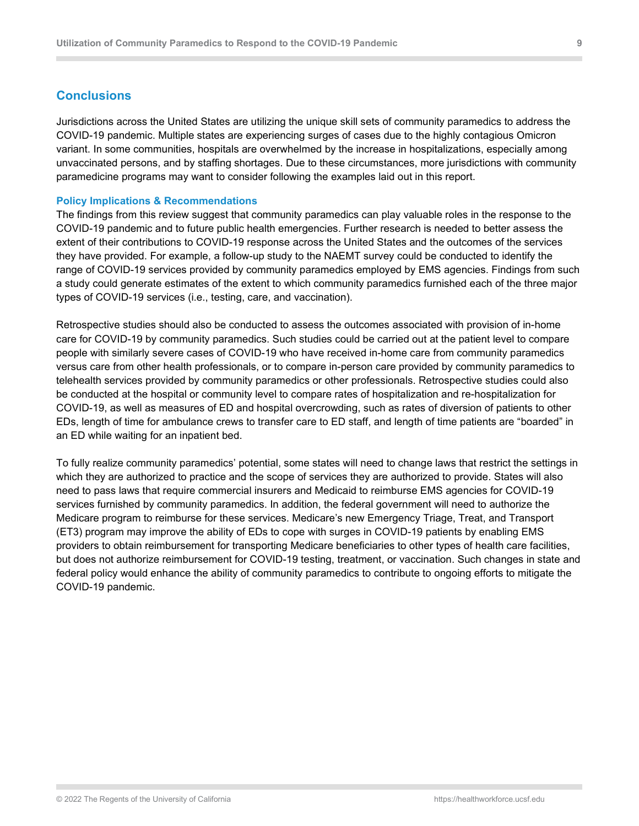# **Conclusions**

Jurisdictions across the United States are utilizing the unique skill sets of community paramedics to address the COVID-19 pandemic. Multiple states are experiencing surges of cases due to the highly contagious Omicron variant. In some communities, hospitals are overwhelmed by the increase in hospitalizations, especially among unvaccinated persons, and by staffing shortages. Due to these circumstances, more jurisdictions with community paramedicine programs may want to consider following the examples laid out in this report.

#### <span id="page-8-0"></span>**Policy Implications & Recommendations**

The findings from this review suggest that community paramedics can play valuable roles in the response to the COVID-19 pandemic and to future public health emergencies. Further research is needed to better assess the extent of their contributions to COVID-19 response across the United States and the outcomes of the services they have provided. For example, a follow-up study to the NAEMT survey could be conducted to identify the range of COVID-19 services provided by community paramedics employed by EMS agencies. Findings from such a study could generate estimates of the extent to which community paramedics furnished each of the three major types of COVID-19 services (i.e., testing, care, and vaccination).

Retrospective studies should also be conducted to assess the outcomes associated with provision of in-home care for COVID-19 by community paramedics. Such studies could be carried out at the patient level to compare people with similarly severe cases of COVID-19 who have received in-home care from community paramedics versus care from other health professionals, or to compare in-person care provided by community paramedics to telehealth services provided by community paramedics or other professionals. Retrospective studies could also be conducted at the hospital or community level to compare rates of hospitalization and re-hospitalization for COVID-19, as well as measures of ED and hospital overcrowding, such as rates of diversion of patients to other EDs, length of time for ambulance crews to transfer care to ED staff, and length of time patients are "boarded" in an ED while waiting for an inpatient bed.

To fully realize community paramedics' potential, some states will need to change laws that restrict the settings in which they are authorized to practice and the scope of services they are authorized to provide. States will also need to pass laws that require commercial insurers and Medicaid to reimburse EMS agencies for COVID-19 services furnished by community paramedics. In addition, the federal government will need to authorize the Medicare program to reimburse for these services. Medicare's new Emergency Triage, Treat, and Transport (ET3) program may improve the ability of EDs to cope with surges in COVID-19 patients by enabling EMS providers to obtain reimbursement for transporting Medicare beneficiaries to other types of health care facilities, but does not authorize reimbursement for COVID-19 testing, treatment, or vaccination. Such changes in state and federal policy would enhance the ability of community paramedics to contribute to ongoing efforts to mitigate the COVID-19 pandemic.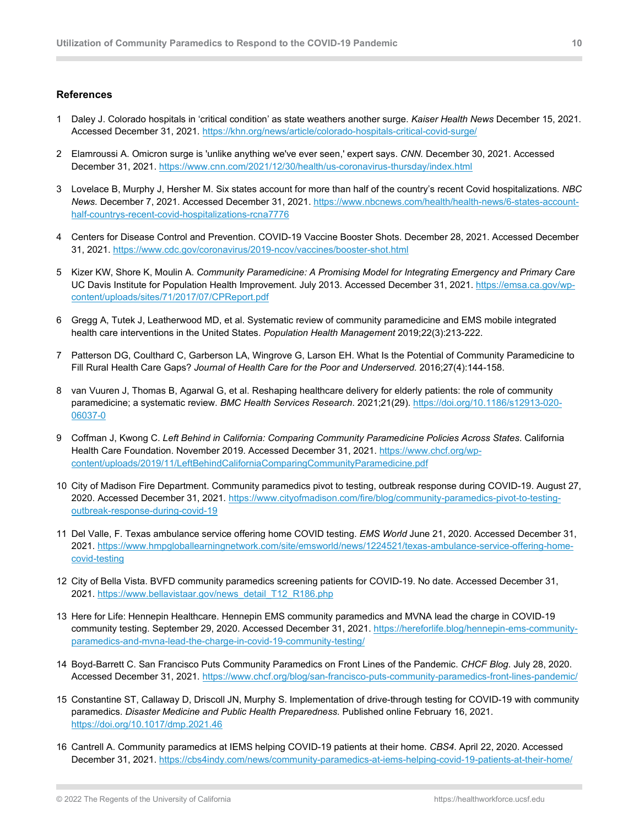#### <span id="page-9-0"></span>**References**

- 1 Daley J. Colorado hospitals in 'critical condition' as state weathers another surge. *Kaiser Health News* December 15, 2021. Accessed December 31, 2021.<https://khn.org/news/article/colorado-hospitals-critical-covid-surge/>
- 2 Elamroussi A. Omicron surge is 'unlike anything we've ever seen,' expert says. *CNN.* December 30, 2021. Accessed December 31, 2021[. https://www.cnn.com/2021/12/30/health/us-coronavirus-thursday/index.html](https://www.cnn.com/2021/12/30/health/us-coronavirus-thursday/index.html)
- 3 Lovelace B, Murphy J, Hersher M. Six states account for more than half of the country's recent Covid hospitalizations. *NBC News.* December 7, 2021. Accessed December 31, 2021[. https://www.nbcnews.com/health/health-news/6-states-account](https://www.nbcnews.com/health/health-news/6-states-account-half-countrys-recent-covid-hospitalizations-rcna7776)[half-countrys-recent-covid-hospitalizations-rcna7776](https://www.nbcnews.com/health/health-news/6-states-account-half-countrys-recent-covid-hospitalizations-rcna7776)
- 4 Centers for Disease Control and Prevention. COVID-19 Vaccine Booster Shots. December 28, 2021. Accessed December 31, 2021[. https://www.cdc.gov/coronavirus/2019-ncov/vaccines/booster-shot.html](https://www.cdc.gov/coronavirus/2019-ncov/vaccines/booster-shot.html)
- 5 Kizer KW, Shore K, Moulin A. *Community Paramedicine: A Promising Model for Integrating Emergency and Primary Care* UC Davis Institute for Population Health Improvement. July 2013. Accessed December 31, 2021. [https://emsa.ca.gov/wp](https://emsa.ca.gov/wp-content/uploads/sites/71/2017/07/CPReport.pdf)[content/uploads/sites/71/2017/07/CPReport.pdf](https://emsa.ca.gov/wp-content/uploads/sites/71/2017/07/CPReport.pdf)
- 6 Gregg A, Tutek J, Leatherwood MD, et al. Systematic review of community paramedicine and EMS mobile integrated health care interventions in the United States. *Population Health Management* 2019;22(3):213-222.
- 7 Patterson DG, Coulthard C, Garberson LA, Wingrove G, Larson EH. What Is the Potential of Community Paramedicine to Fill Rural Health Care Gaps? *Journal of Health Care for the Poor and Underserved.* 2016;27(4):144-158.
- 8 van Vuuren J, Thomas B, Agarwal G, et al. Reshaping healthcare delivery for elderly patients: the role of community paramedicine; a systematic review. *BMC Health Services Research*. 2021;21(29). [https://doi.org/10.1186/s12913-020-](https://doi.org/10.1186/s12913-020-06037-0) [06037-0](https://doi.org/10.1186/s12913-020-06037-0)
- 9 Coffman J, Kwong C. *Left Behind in California: Comparing Community Paramedicine Policies Across States*. California Health Care Foundation. November 2019. Accessed December 31, 2021[. https://www.chcf.org/wp](https://www.chcf.org/wp-content/uploads/2019/11/LeftBehindCaliforniaComparingCommunityParamedicine.pdf)[content/uploads/2019/11/LeftBehindCaliforniaComparingCommunityParamedicine.pdf](https://www.chcf.org/wp-content/uploads/2019/11/LeftBehindCaliforniaComparingCommunityParamedicine.pdf)
- 10 City of Madison Fire Department. Community paramedics pivot to testing, outbreak response during COVID-19. August 27, 2020. Accessed December 31, 2021. [https://www.cityofmadison.com/fire/blog/community-paramedics-pivot-to-testing](https://www.cityofmadison.com/fire/blog/community-paramedics-pivot-to-testing-outbreak-response-during-covid-19)[outbreak-response-during-covid-19](https://www.cityofmadison.com/fire/blog/community-paramedics-pivot-to-testing-outbreak-response-during-covid-19)
- 11 Del Valle, F. Texas ambulance service offering home COVID testing. *EMS World* June 21, 2020. Accessed December 31, 2021[. https://www.hmpgloballearningnetwork.com/site/emsworld/news/1224521/texas-ambulance-service-offering-home](https://www.hmpgloballearningnetwork.com/site/emsworld/news/1224521/texas-ambulance-service-offering-home-covid-testing)[covid-testing](https://www.hmpgloballearningnetwork.com/site/emsworld/news/1224521/texas-ambulance-service-offering-home-covid-testing)
- 12 City of Bella Vista. BVFD community paramedics screening patients for COVID-19. No date. Accessed December 31, 2021[. https://www.bellavistaar.gov/news\\_detail\\_T12\\_R186.php](https://www.bellavistaar.gov/news_detail_T12_R186.php)
- 13 Here for Life: Hennepin Healthcare. Hennepin EMS community paramedics and MVNA lead the charge in COVID-19 community testing. September 29, 2020. Accessed December 31, 2021. [https://hereforlife.blog/hennepin-ems-community](https://hereforlife.blog/hennepin-ems-community-paramedics-and-mvna-lead-the-charge-in-covid-19-community-testing/)[paramedics-and-mvna-lead-the-charge-in-covid-19-community-testing/](https://hereforlife.blog/hennepin-ems-community-paramedics-and-mvna-lead-the-charge-in-covid-19-community-testing/)
- 14 Boyd-Barrett C. San Francisco Puts Community Paramedics on Front Lines of the Pandemic. *CHCF Blog*. July 28, 2020. Accessed December 31, 2021.<https://www.chcf.org/blog/san-francisco-puts-community-paramedics-front-lines-pandemic/>
- 15 Constantine ST, Callaway D, Driscoll JN, Murphy S. Implementation of drive-through testing for COVID-19 with community paramedics. *Disaster Medicine and Public Health Preparedness.* Published online February 16, 2021. <https://doi.org/10.1017/dmp.2021.46>
- 16 Cantrell A. Community paramedics at IEMS helping COVID-19 patients at their home. *CBS4*. April 22, 2020. Accessed December 31, 2021[. https://cbs4indy.com/news/community-paramedics-at-iems-helping-covid-19-patients-at-their-home/](https://cbs4indy.com/news/community-paramedics-at-iems-helping-covid-19-patients-at-their-home/)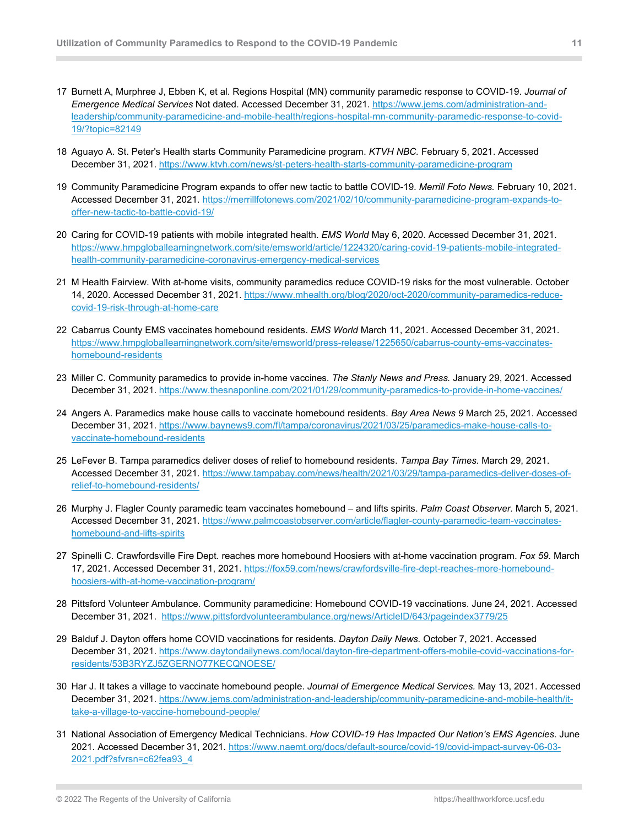- 17 Burnett A, Murphree J, Ebben K, et al. Regions Hospital (MN) community paramedic response to COVID-19. *Journal of Emergence Medical Services* Not dated. Accessed December 31, 2021. [https://www.jems.com/administration-and](https://www.jems.com/administration-and-leadership/community-paramedicine-and-mobile-health/regions-hospital-mn-community-paramedic-response-to-covid-19/?topic=82149)[leadership/community-paramedicine-and-mobile-health/regions-hospital-mn-community-paramedic-response-to-covid-](https://www.jems.com/administration-and-leadership/community-paramedicine-and-mobile-health/regions-hospital-mn-community-paramedic-response-to-covid-19/?topic=82149)[19/?topic=82149](https://www.jems.com/administration-and-leadership/community-paramedicine-and-mobile-health/regions-hospital-mn-community-paramedic-response-to-covid-19/?topic=82149)
- 18 Aguayo A. St. Peter's Health starts Community Paramedicine program. *KTVH NBC.* February 5, 2021. Accessed December 31, 2021[. https://www.ktvh.com/news/st-peters-health-starts-community-paramedicine-program](https://www.ktvh.com/news/st-peters-health-starts-community-paramedicine-program)
- 19 Community Paramedicine Program expands to offer new tactic to battle COVID-19. *Merrill Foto News.* February 10, 2021. Accessed December 31, 2021. [https://merrillfotonews.com/2021/02/10/community-paramedicine-program-expands-to](https://merrillfotonews.com/2021/02/10/community-paramedicine-program-expands-to-offer-new-tactic-to-battle-covid-19/)[offer-new-tactic-to-battle-covid-19/](https://merrillfotonews.com/2021/02/10/community-paramedicine-program-expands-to-offer-new-tactic-to-battle-covid-19/)
- 20 Caring for COVID-19 patients with mobile integrated health. *EMS World* May 6, 2020. Accessed December 31, 2021. [https://www.hmpgloballearningnetwork.com/site/emsworld/article/1224320/caring-covid-19-patients-mobile-integrated](https://www.hmpgloballearningnetwork.com/site/emsworld/article/1224320/caring-covid-19-patients-mobile-integrated-health-community-paramedicine-coronavirus-emergency-medical-services)[health-community-paramedicine-coronavirus-emergency-medical-services](https://www.hmpgloballearningnetwork.com/site/emsworld/article/1224320/caring-covid-19-patients-mobile-integrated-health-community-paramedicine-coronavirus-emergency-medical-services)
- 21 M Health Fairview. With at-home visits, community paramedics reduce COVID-19 risks for the most vulnerable. October 14, 2020. Accessed December 31, 2021. [https://www.mhealth.org/blog/2020/oct-2020/community-paramedics-reduce](https://www.mhealth.org/blog/2020/oct-2020/community-paramedics-reduce-covid-19-risk-through-at-home-care)[covid-19-risk-through-at-home-care](https://www.mhealth.org/blog/2020/oct-2020/community-paramedics-reduce-covid-19-risk-through-at-home-care)
- 22 Cabarrus County EMS vaccinates homebound residents. *EMS World* March 11, 2021. Accessed December 31, 2021. [https://www.hmpgloballearningnetwork.com/site/emsworld/press-release/1225650/cabarrus-county-ems-vaccinates](https://www.hmpgloballearningnetwork.com/site/emsworld/press-release/1225650/cabarrus-county-ems-vaccinates-homebound-residents)[homebound-residents](https://www.hmpgloballearningnetwork.com/site/emsworld/press-release/1225650/cabarrus-county-ems-vaccinates-homebound-residents)
- 23 Miller C. Community paramedics to provide in-home vaccines. *The Stanly News and Press.* January 29, 2021. Accessed December 31, 2021. <https://www.thesnaponline.com/2021/01/29/community-paramedics-to-provide-in-home-vaccines/>
- 24 Angers A. Paramedics make house calls to vaccinate homebound residents. *Bay Area News 9* March 25, 2021. Accessed December 31, 2021[. https://www.baynews9.com/fl/tampa/coronavirus/2021/03/25/paramedics-make-house-calls-to](https://www.baynews9.com/fl/tampa/coronavirus/2021/03/25/paramedics-make-house-calls-to-vaccinate-homebound-residents)[vaccinate-homebound-residents](https://www.baynews9.com/fl/tampa/coronavirus/2021/03/25/paramedics-make-house-calls-to-vaccinate-homebound-residents)
- 25 LeFever B. Tampa paramedics deliver doses of relief to homebound residents. *Tampa Bay Times.* March 29, 2021. Accessed December 31, 2021. [https://www.tampabay.com/news/health/2021/03/29/tampa-paramedics-deliver-doses-of](https://www.tampabay.com/news/health/2021/03/29/tampa-paramedics-deliver-doses-of-relief-to-homebound-residents/)[relief-to-homebound-residents/](https://www.tampabay.com/news/health/2021/03/29/tampa-paramedics-deliver-doses-of-relief-to-homebound-residents/)
- 26 Murphy J. Flagler County paramedic team vaccinates homebound and lifts spirits. *Palm Coast Observer.* March 5, 2021. Accessed December 31, 2021. [https://www.palmcoastobserver.com/article/flagler-county-paramedic-team-vaccinates](https://www.palmcoastobserver.com/article/flagler-county-paramedic-team-vaccinates-homebound-and-lifts-spirits)[homebound-and-lifts-spirits](https://www.palmcoastobserver.com/article/flagler-county-paramedic-team-vaccinates-homebound-and-lifts-spirits)
- 27 Spinelli C. Crawfordsville Fire Dept. reaches more homebound Hoosiers with at-home vaccination program. *Fox 59*. March 17, 2021. Accessed December 31, 2021. [https://fox59.com/news/crawfordsville-fire-dept-reaches-more-homebound](https://fox59.com/news/crawfordsville-fire-dept-reaches-more-homebound-hoosiers-with-at-home-vaccination-program/)[hoosiers-with-at-home-vaccination-program/](https://fox59.com/news/crawfordsville-fire-dept-reaches-more-homebound-hoosiers-with-at-home-vaccination-program/)
- 28 Pittsford Volunteer Ambulance. Community paramedicine: Homebound COVID-19 vaccinations. June 24, 2021. Accessed December 31, 2021. <https://www.pittsfordvolunteerambulance.org/news/ArticleID/643/pageindex3779/25>
- 29 Balduf J. Dayton offers home COVID vaccinations for residents. *Dayton Daily News.* October 7, 2021. Accessed December 31, 2021[. https://www.daytondailynews.com/local/dayton-fire-department-offers-mobile-covid-vaccinations-for](https://www.daytondailynews.com/local/dayton-fire-department-offers-mobile-covid-vaccinations-for-residents/53B3RYZJ5ZGERNO77KECQNOESE/)[residents/53B3RYZJ5ZGERNO77KECQNOESE/](https://www.daytondailynews.com/local/dayton-fire-department-offers-mobile-covid-vaccinations-for-residents/53B3RYZJ5ZGERNO77KECQNOESE/)
- 30 Har J. It takes a village to vaccinate homebound people. *Journal of Emergence Medical Services.* May 13, 2021. Accessed December 31, 2021[. https://www.jems.com/administration-and-leadership/community-paramedicine-and-mobile-health/it](https://www.jems.com/administration-and-leadership/community-paramedicine-and-mobile-health/it-take-a-village-to-vaccine-homebound-people/)[take-a-village-to-vaccine-homebound-people/](https://www.jems.com/administration-and-leadership/community-paramedicine-and-mobile-health/it-take-a-village-to-vaccine-homebound-people/)
- 31 National Association of Emergency Medical Technicians. *How COVID-19 Has Impacted Our Nation's EMS Agencies*. June 2021. Accessed December 31, 2021. [https://www.naemt.org/docs/default-source/covid-19/covid-impact-survey-06-03-](https://www.naemt.org/docs/default-source/covid-19/covid-impact-survey-06-03-2021.pdf?sfvrsn=c62fea93_4) [2021.pdf?sfvrsn=c62fea93\\_4](https://www.naemt.org/docs/default-source/covid-19/covid-impact-survey-06-03-2021.pdf?sfvrsn=c62fea93_4)